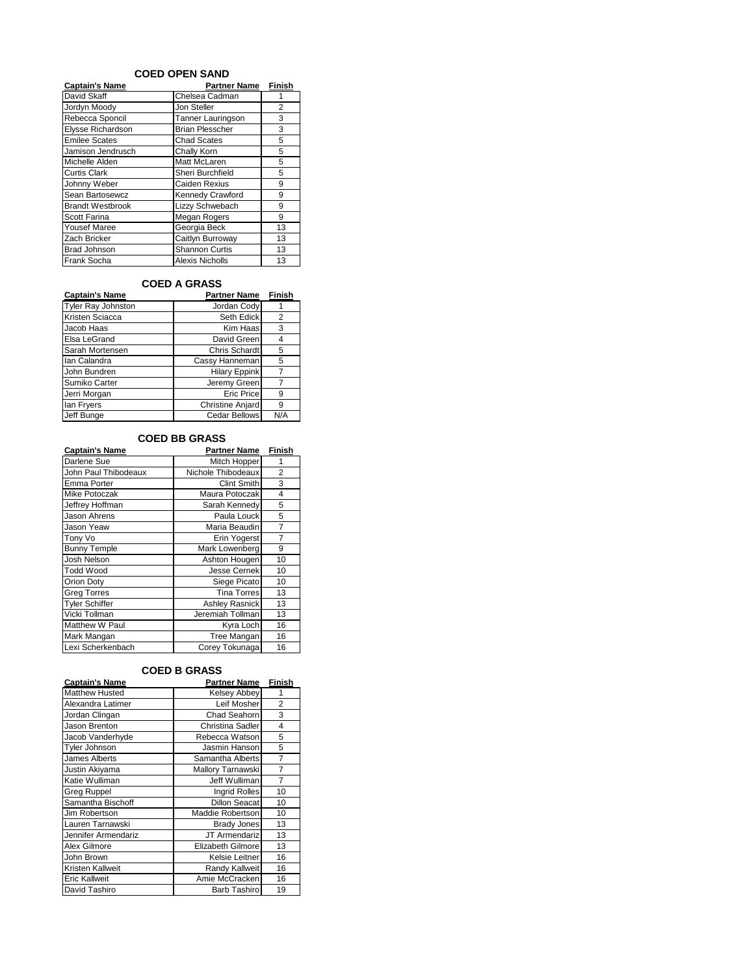#### **COED OPEN SAND**

| <b>Captain's Name</b>   | <b>Partner Name Finish</b> |                |
|-------------------------|----------------------------|----------------|
| David Skaff             | Chelsea Cadman             |                |
| Jordyn Moody            | Jon Steller                | $\overline{2}$ |
| Rebecca Sponcil         | Tanner Lauringson          | 3              |
| Elysse Richardson       | <b>Brian Plesscher</b>     | 3              |
| <b>Emilee Scates</b>    | <b>Chad Scates</b>         | 5              |
| Jamison Jendrusch       | Chally Korn                | 5              |
| Michelle Alden          | Matt McLaren               | 5              |
| <b>Curtis Clark</b>     | Sheri Burchfield           | 5              |
| Johnny Weber            | Caiden Rexius              | 9              |
| Sean Bartosewcz         | Kennedy Crawford           | 9              |
| <b>Brandt Westbrook</b> | Lizzy Schwebach            | 9              |
| Scott Farina            | Megan Rogers               | 9              |
| <b>Yousef Maree</b>     | Georgia Beck               | 13             |
| Zach Bricker            | Caitlyn Burroway           | 13             |
| <b>Brad Johnson</b>     | <b>Shannon Curtis</b>      | 13             |
| Frank Socha             | Alexis Nicholls            | 13             |

## **COED A GRASS**

| <b>Captain's Name</b>     | <b>Partner Name</b>     | Finish |
|---------------------------|-------------------------|--------|
| <b>Tyler Ray Johnston</b> | Jordan Cody             |        |
| Kristen Sciacca           | Seth Edick              | 2      |
| Jacob Haas                | Kim Haas                | 3      |
| Elsa LeGrand              | David Green             | 4      |
| Sarah Mortensen           | Chris Schardt           | 5      |
| Ian Calandra              | Cassy Hanneman          | 5      |
| John Bundren              | <b>Hilary Eppink</b>    |        |
| Sumiko Carter             | Jeremy Green            |        |
| Jerri Morgan              | Eric Price              | 9      |
| lan Fryers                | <b>Christine Anjard</b> | 9      |
| Jeff Bunge                | <b>Cedar Bellows</b>    | N/A    |

#### **COED BB GRASS**

| <b>Captain's Name</b> | Partner Name          | Finish         |
|-----------------------|-----------------------|----------------|
| Darlene Sue           | Mitch Hopper          |                |
| John Paul Thibodeaux  | Nichole Thibodeaux    | 2              |
| Emma Porter           | <b>Clint Smith</b>    | 3              |
| Mike Potoczak         | Maura Potoczak        | 4              |
| Jeffrey Hoffman       | Sarah Kennedv         | 5              |
| <b>Jason Ahrens</b>   | Paula Louck           | 5              |
| Jason Yeaw            | Maria Beaudin         | $\overline{7}$ |
| Tony Vo               | Erin Yogerst          | 7              |
| <b>Bunny Temple</b>   | Mark Lowenberg        | 9              |
| <b>Josh Nelson</b>    | Ashton Hougen         | 10             |
| <b>Todd Wood</b>      | <b>Jesse Cernek</b>   | 10             |
| Orion Doty            | Siege Picato          | 10             |
| <b>Greg Torres</b>    | <b>Tina Torres</b>    | 13             |
| <b>Tyler Schiffer</b> | <b>Ashley Rasnick</b> | 13             |
| Vicki Tollman         | Jeremiah Tollman      | 13             |
| Matthew W Paul        | Kyra Loch             | 16             |
| Mark Mangan           | Tree Mangan           | 16             |
| Lexi Scherkenbach     | Corey Tokunaga        | 16             |

# **COED B GRASS**

| <b>Captain's Name</b> | <b>Partner Name</b>      | Finish         |
|-----------------------|--------------------------|----------------|
| <b>Matthew Husted</b> | Kelsey Abbey             | 1              |
| Alexandra Latimer     | Leif Mosher              | $\overline{2}$ |
| Jordan Clingan        | Chad Seahorn             | 3              |
| Jason Brenton         | Christina Sadler         | 4              |
| Jacob Vanderhyde      | Rebecca Watson           | 5              |
| <b>Tyler Johnson</b>  | Jasmin Hanson            | 5              |
| James Alberts         | Samantha Alberts         | $\overline{7}$ |
| Justin Akiyama        | Mallory Tarnawski        | $\overline{7}$ |
| Katie Wulliman        | Jeff Wulliman            | $\overline{7}$ |
| <b>Greg Ruppel</b>    | <b>Ingrid Rolles</b>     | 10             |
| Samantha Bischoff     | <b>Dillon Seacat</b>     | 10             |
| Jim Robertson         | Maddie Robertson         | 10             |
| Lauren Tarnawski      | <b>Brady Jones</b>       | 13             |
| Jennifer Armendariz   | JT Armendariz            | 13             |
| Alex Gilmore          | <b>Elizabeth Gilmore</b> | 13             |
| John Brown            | Kelsie Leitner           | 16             |
| Kristen Kallweit      | Randy Kallweit           | 16             |
| <b>Eric Kallweit</b>  | Amie McCracken           | 16             |
| David Tashiro         | Barb Tashiro             | 19             |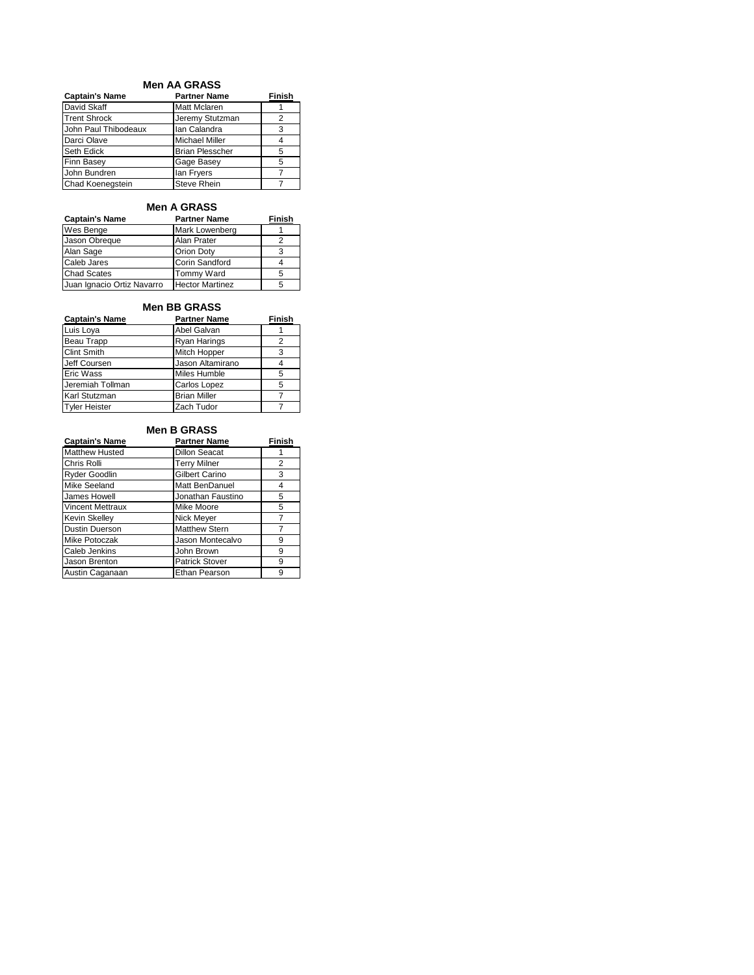#### **Men AA GRASS**

| <b>Captain's Name</b>   | <b>Partner Name</b>    | Finish |
|-------------------------|------------------------|--------|
| David Skaff             | <b>Matt Mclaren</b>    |        |
| <b>Trent Shrock</b>     | Jeremy Stutzman        | っ      |
| John Paul Thibodeaux    | Ian Calandra           | 3      |
| Darci Olave             | <b>Michael Miller</b>  |        |
| <b>Seth Edick</b>       | <b>Brian Plesscher</b> | 5      |
| <b>Finn Basey</b>       | Gage Basey             | 5      |
| John Bundren            | lan Fryers             |        |
| <b>Chad Koenegstein</b> | <b>Steve Rhein</b>     |        |

## **Men A GRASS**

| <b>Captain's Name</b>      | <b>Partner Name</b>    | Finish |
|----------------------------|------------------------|--------|
| Wes Benge                  | Mark Lowenberg         |        |
| Jason Obreque              | Alan Prater            |        |
| Alan Sage                  | <b>Orion Doty</b>      | 3      |
| Caleb Jares                | Corin Sandford         |        |
| <b>Chad Scates</b>         | <b>Tommy Ward</b>      | 5      |
| Juan Ignacio Ortiz Navarro | <b>Hector Martinez</b> | 5      |

## **Men BB GRASS**

| <b>Captain's Name</b> | <b>Partner Name</b> | <b>Finish</b> |
|-----------------------|---------------------|---------------|
| Luis Loya             | Abel Galvan         |               |
| Beau Trapp            | <b>Ryan Harings</b> |               |
| <b>Clint Smith</b>    | <b>Mitch Hopper</b> | 3             |
| Jeff Coursen          | Jason Altamirano    |               |
| Eric Wass             | Miles Humble        | 5             |
| Jeremiah Tollman      | Carlos Lopez        | 5             |
| Karl Stutzman         | <b>Brian Miller</b> |               |
| <b>Tyler Heister</b>  | Zach Tudor          |               |

#### **Men B GRASS**

| <b>Captain's Name</b>   | <b>Partner Name</b>   | <b>Finish</b> |
|-------------------------|-----------------------|---------------|
| <b>Matthew Husted</b>   | <b>Dillon Seacat</b>  |               |
| Chris Rolli             | <b>Terry Milner</b>   | 2             |
| Ryder Goodlin           | Gilbert Carino        | 3             |
| Mike Seeland            | Matt BenDanuel        | 4             |
| James Howell            | Jonathan Faustino     | 5             |
| <b>Vincent Mettraux</b> | Mike Moore            | 5             |
| Kevin Skelley           | Nick Meyer            |               |
| <b>Dustin Duerson</b>   | <b>Matthew Stern</b>  |               |
| Mike Potoczak           | Jason Montecalvo      | 9             |
| Caleb Jenkins           | John Brown            | 9             |
| Jason Brenton           | <b>Patrick Stover</b> | 9             |
| Austin Caganaan         | Ethan Pearson         | ٩             |